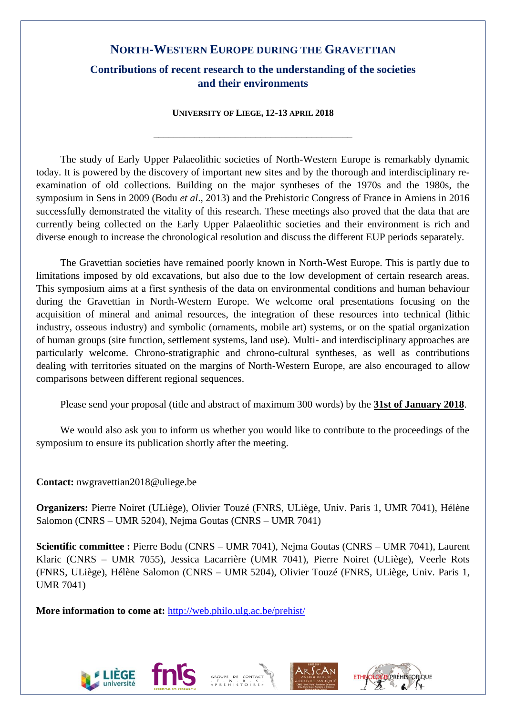# **NORTH-WESTERN EUROPE DURING THE GRAVETTIAN**

# **Contributions of recent research to the understanding of the societies and their environments**

**UNIVERSITY OF LIEGE, 12-13 APRIL 2018**

\_\_\_\_\_\_\_\_\_\_\_\_\_\_\_\_\_\_\_\_\_\_\_\_\_\_\_\_\_\_\_\_\_\_\_\_\_\_\_

The study of Early Upper Palaeolithic societies of North-Western Europe is remarkably dynamic today. It is powered by the discovery of important new sites and by the thorough and interdisciplinary reexamination of old collections. Building on the major syntheses of the 1970s and the 1980s, the symposium in Sens in 2009 (Bodu *et al*., 2013) and the Prehistoric Congress of France in Amiens in 2016 successfully demonstrated the vitality of this research. These meetings also proved that the data that are currently being collected on the Early Upper Palaeolithic societies and their environment is rich and diverse enough to increase the chronological resolution and discuss the different EUP periods separately.

The Gravettian societies have remained poorly known in North-West Europe. This is partly due to limitations imposed by old excavations, but also due to the low development of certain research areas. This symposium aims at a first synthesis of the data on environmental conditions and human behaviour during the Gravettian in North-Western Europe. We welcome oral presentations focusing on the acquisition of mineral and animal resources, the integration of these resources into technical (lithic industry, osseous industry) and symbolic (ornaments, mobile art) systems, or on the spatial organization of human groups (site function, settlement systems, land use). Multi- and interdisciplinary approaches are particularly welcome. Chrono-stratigraphic and chrono-cultural syntheses, as well as contributions dealing with territories situated on the margins of North-Western Europe, are also encouraged to allow comparisons between different regional sequences.

Please send your proposal (title and abstract of maximum 300 words) by the **31st of January 2018**.

We would also ask you to inform us whether you would like to contribute to the proceedings of the symposium to ensure its publication shortly after the meeting.

# **Contact:** nwgravettian2018@uliege.be

**Organizers:** Pierre Noiret (ULiège), Olivier Touzé (FNRS, ULiège, Univ. Paris 1, UMR 7041), Hélène Salomon (CNRS – UMR 5204), Nejma Goutas (CNRS – UMR 7041)

**Scientific committee :** Pierre Bodu (CNRS – UMR 7041), Nejma Goutas (CNRS – UMR 7041), Laurent Klaric (CNRS – UMR 7055), Jessica Lacarrière (UMR 7041), Pierre Noiret (ULiège), Veerle Rots (FNRS, ULiège), Hélène Salomon (CNRS – UMR 5204), Olivier Touzé (FNRS, ULiège, Univ. Paris 1, UMR 7041)

**More information to come at:** <http://web.philo.ulg.ac.be/prehist/>







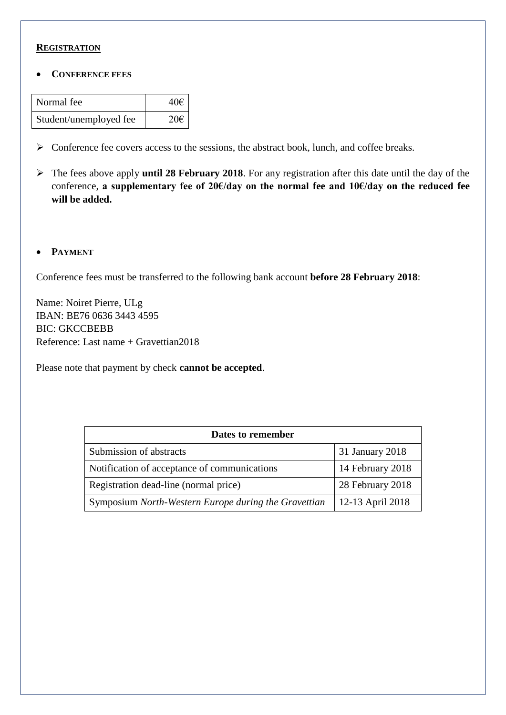## **REGISTRATION**

**CONFERENCE FEES**

| Normal fee             | 40€             |
|------------------------|-----------------|
| Student/unemployed fee | 20 <sup>ε</sup> |

- $\triangleright$  Conference fee covers access to the sessions, the abstract book, lunch, and coffee breaks.
- The fees above apply **until 28 February 2018**. For any registration after this date until the day of the conference, **a supplementary fee of 20€/day on the normal fee and 10€/day on the reduced fee will be added.**
- **PAYMENT**

Conference fees must be transferred to the following bank account **before 28 February 2018**:

Name: Noiret Pierre, ULg IBAN: BE76 0636 3443 4595 BIC: GKCCBEBB Reference: Last name + Gravettian2018

Please note that payment by check **cannot be accepted**.

| Dates to remember                                    |                  |
|------------------------------------------------------|------------------|
| Submission of abstracts                              | 31 January 2018  |
| Notification of acceptance of communications         | 14 February 2018 |
| Registration dead-line (normal price)                | 28 February 2018 |
| Symposium North-Western Europe during the Gravettian | 12-13 April 2018 |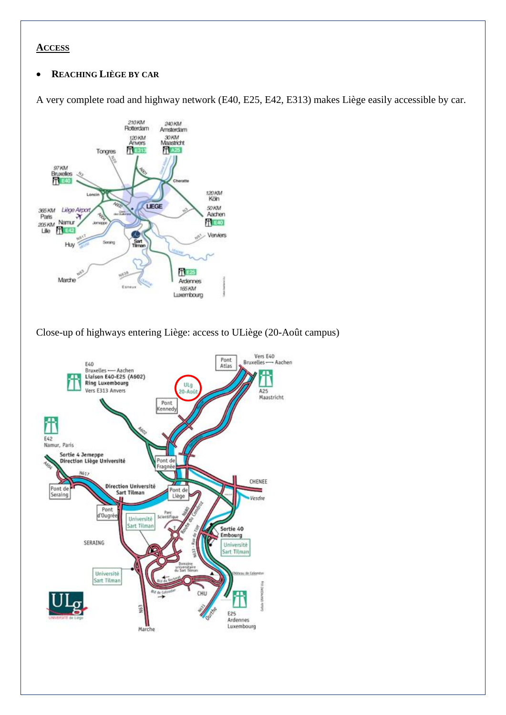## **ACCESS**

## **REACHING LIÈGE BY CAR**

A very complete road and highway network (E40, E25, E42, E313) makes Liège easily accessible by car.



Close-up of highways entering Liège: access to ULiège (20-Août campus)

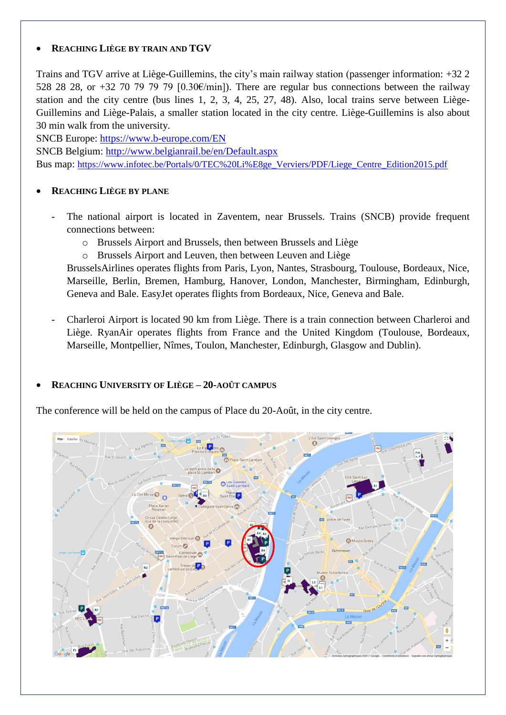# **REACHING LIÈGE BY TRAIN AND TGV**

Trains and TGV arrive at Liège-Guillemins, the city's main railway station (passenger information: +32 2 528 28 28, or +32 70 79 79 79 [0.30 $\varepsilon$ /min]). There are regular bus connections between the railway station and the city centre (bus lines 1, 2, 3, 4, 25, 27, 48). Also, local trains serve between Liège-Guillemins and Liège-Palais, a smaller station located in the city centre. Liège-Guillemins is also about 30 min walk from the university.

SNCB Europe:<https://www.b-europe.com/EN>

SNCB Belgium:<http://www.belgianrail.be/en/Default.aspx> Bus map: [https://www.infotec.be/Portals/0/TEC%20Li%E8ge\\_Verviers/PDF/Liege\\_Centre\\_Edition2015.pdf](https://www.infotec.be/Portals/0/TEC%20Li%E8ge_Verviers/PDF/Liege_Centre_Edition2015.pdf)

# **REACHING LIÈGE BY PLANE**

- The national airport is located in Zaventem, near Brussels. Trains (SNCB) provide frequent connections between:
	- o Brussels Airport and Brussels, then between Brussels and Liège
	- o Brussels Airport and Leuven, then between Leuven and Liège

BrusselsAirlines operates flights from Paris, Lyon, Nantes, Strasbourg, Toulouse, Bordeaux, Nice, Marseille, Berlin, Bremen, Hamburg, Hanover, London, Manchester, Birmingham, Edinburgh, Geneva and Bale. EasyJet operates flights from Bordeaux, Nice, Geneva and Bale.

- Charleroi Airport is located 90 km from Liège. There is a train connection between Charleroi and Liège. RyanAir operates flights from France and the United Kingdom (Toulouse, Bordeaux, Marseille, Montpellier, Nîmes, Toulon, Manchester, Edinburgh, Glasgow and Dublin).

# **REACHING UNIVERSITY OF LIÈGE – 20-AOÛT CAMPUS**

The conference will be held on the campus of Place du 20-Août, in the city centre.

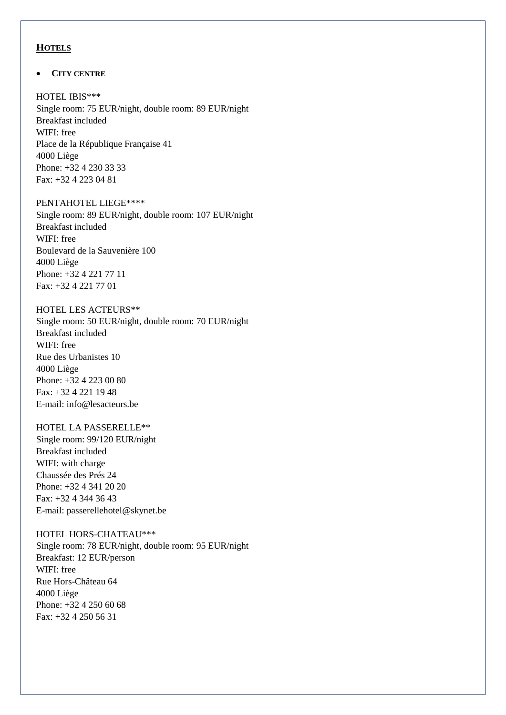### **HOTELS**

#### **CITY CENTRE**

#### HOTEL IBIS\*\*\*

Single room: 75 EUR/night, double room: 89 EUR/night Breakfast included WIFI: free Place de la République Française 41 4000 Liège Phone: +32 4 230 33 33 Fax: +32 4 223 04 81

#### PENTAHOTEL LIEGE\*\*\*\*

Single room: 89 EUR/night, double room: 107 EUR/night Breakfast included WIFI: free Boulevard de la Sauvenière 100 4000 Liège Phone: +32 4 221 77 11 Fax: +32 4 221 77 01

### HOTEL LES ACTEURS\*\*

Single room: 50 EUR/night, double room: 70 EUR/night Breakfast included WIFI: free Rue des Urbanistes 10 4000 Liège Phone: +32 4 223 00 80 Fax: +32 4 221 19 48 E-mail: info@lesacteurs.be

# HOTEL LA PASSERELLE\*\*

Single room: 99/120 EUR/night Breakfast included WIFI: with charge Chaussée des Prés 24 Phone: +32 4 341 20 20 Fax: +32 4 344 36 43 E-mail: passerellehotel@skynet.be

# HOTEL HORS-CHATEAU\*\*\*

Single room: 78 EUR/night, double room: 95 EUR/night Breakfast: 12 EUR/person WIFI: free Rue Hors-Château 64 4000 Liège Phone: +32 4 250 60 68 Fax: +32 4 250 56 31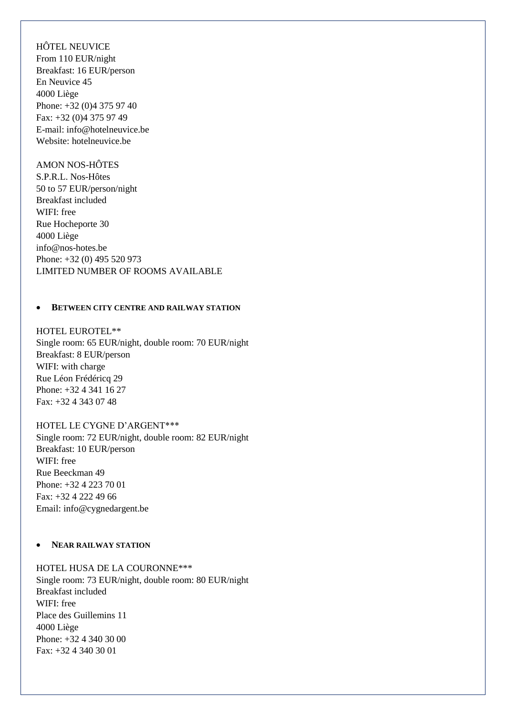HÔTEL NEUVICE From 110 EUR/night Breakfast: 16 EUR/person En Neuvice 45 4000 Liège Phone: +32 (0)4 375 97 40 Fax: +32 (0)4 375 97 49 E-mail: info@hotelneuvice.be Website: hotelneuvice.be

### AMON NOS-HÔTES

S.P.R.L. Nos-Hôtes 50 to 57 EUR/person/night Breakfast included WIFI: free Rue Hocheporte 30 4000 Liège info@nos-hotes.be Phone: +32 (0) 495 520 973 LIMITED NUMBER OF ROOMS AVAILABLE

#### **• BETWEEN CITY CENTRE AND RAILWAY STATION**

HOTEL EUROTEL\*\* Single room: 65 EUR/night, double room: 70 EUR/night Breakfast: 8 EUR/person WIFI: with charge Rue Léon Frédéricq 29 Phone: +32 4 341 16 27 Fax: +32 4 343 07 48

#### HOTEL LE CYGNE D'ARGENT\*\*\*

Single room: 72 EUR/night, double room: 82 EUR/night Breakfast: 10 EUR/person WIFI: free Rue Beeckman 49 Phone: +32 4 223 70 01 Fax: +32 4 222 49 66 Email: info@cygnedargent.be

#### **•** NEAR RAILWAY STATION

### HOTEL HUSA DE LA COURONNE\*\*\*

Single room: 73 EUR/night, double room: 80 EUR/night Breakfast included WIFI: free Place des Guillemins 11 4000 Liège Phone: +32 4 340 30 00 Fax: +32 4 340 30 01